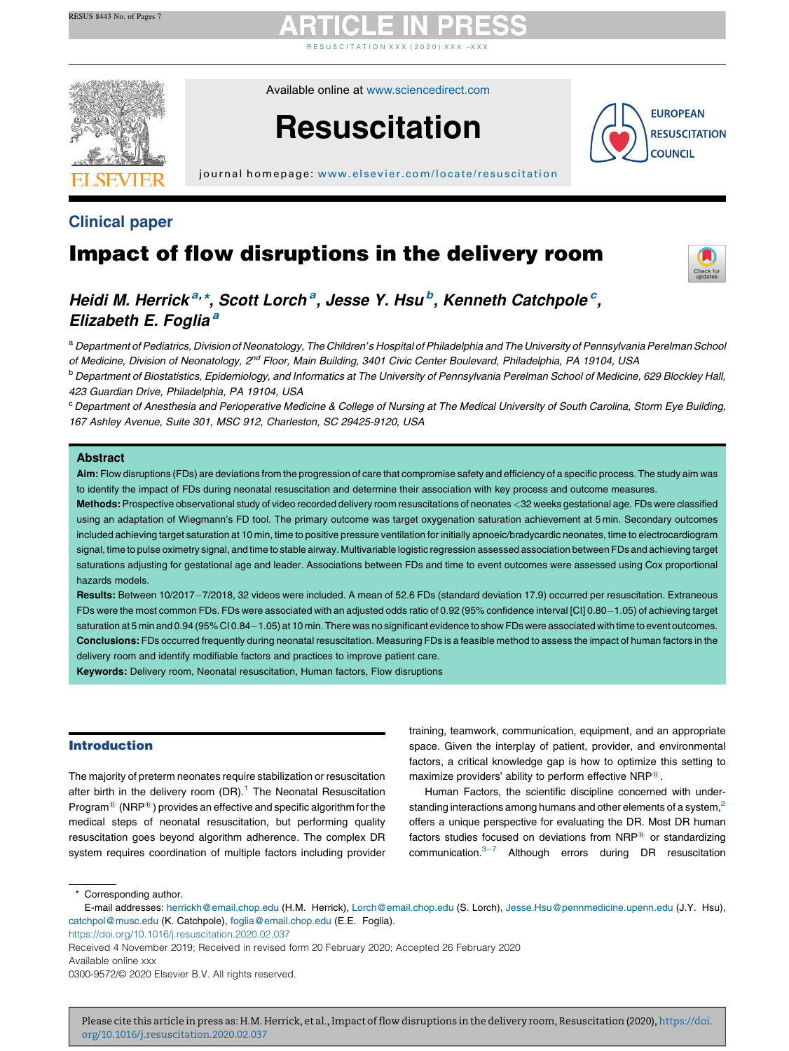R E S U S C I T A T I [O](https://doi.org/10.1016/j.resuscitation.2020.02.037) N X X X ( 2 0 2 0 ) X X X  $-$  X X X



Available online at [www.sciencedirect.com](http://www.sciencedirect.com/science/journal/03009572)

# **Resuscitation**



j ournal home page: [www.elsevier.com/locate/resus](www.elsevier.com/locate/resuscitation) citation

### Clinical paper

### Impact of flow disruptions in the delivery room



### Heidi M. Herrick<sup>a, \*</sup>, Scott Lorch<sup>a</sup>, Jesse Y. Hsu<sup>b</sup>, Kenneth Catchpole<sup>c</sup>, Elizabeth E. Foglia<sup>a</sup>

a Department of Pediatrics, Division of Neonatology, The Children's Hospital of Philadelphia and The University of Pennsylvania Perelman School of Medicine, Division of Neonatology, 2<sup>nd</sup> Floor, Main Building, 3401 Civic Center Boulevard, Philadelphia, PA 19104, USA

<sup>b</sup> Department of Biostatistics, Epidemiology, and Informatics at The University of Pennsylvania Perelman School of Medicine, 629 Blockley Hall, 423 Guardian Drive, Philadelphia, PA 19104, USA

<sup>c</sup> Department of Anesthesia and Perioperative Medicine & College of Nursing at The Medical University of South Carolina, Storm Eye Building, 167 Ashley Avenue, Suite 301, MSC 912, Charleston, SC 29425-9120, USA

#### Abstract

Aim: Flow disruptions (FDs) are deviations from the progression of care that compromise safety and efficiency of a specific process. The study aim was to identify the impact of FDs during neonatal resuscitation and determine their association with key process and outcome measures.

Methods: Prospective observational study of video recorded delivery room resuscitations of neonates <32 weeks gestational age. FDs were classified using an adaptation of Wiegmann's FD tool. The primary outcome was target oxygenation saturation achievement at 5 min. Secondary outcomes included achieving target saturation at 10 min, time to positive pressure ventilation for initially apnoeic/bradycardic neonates, time to electrocardiogram signal, time to pulse oximetry signal, and time to stable airway. Multivariable logistic regression assessed association between FDs and achieving target saturations adjusting for gestational age and leader. Associations between FDs and time to event outcomes were assessed using Cox proportional hazards models.

Results: Between 10/2017-7/2018, 32 videos were included. A mean of 52.6 FDs (standard deviation 17.9) occurred per resuscitation. Extraneous FDs were the most common FDs. FDs were associated with an adjusted odds ratio of 0.92 (95% confidence interval [CI] 0.80-1.05) of achieving target saturation at 5 min and 0.94 (95% CI 0.84-1.05) at 10 min. There was no significant evidence to show FDs were associated with time to event outcomes. Conclusions: FDs occurred frequently during neonatal resuscitation. Measuring FDs is a feasible method to assess the impact of human factors in the delivery room and identify modifiable factors and practices to improve patient care.

Keywords: Delivery room, Neonatal resuscitation, Human factors, Flow disruptions

#### Introduction

The majority of preterm neonates require stabilization or resuscitation after birth in the delivery room  $(DR)$ .<sup>[1](#page-5-0)</sup> The Neonatal Resuscitation Program<sup>®</sup> (NRP<sup>®</sup>) provides an effective and specific algorithm for the medical steps of neonatal resuscitation, but performing quality resuscitation goes beyond algorithm adherence. The complex DR system requires coordination of multiple factors including provider

training, teamwork, communication, equipment, and an appropriate space. Given the interplay of patient, provider, and environmental factors, a critical knowledge gap is how to optimize this setting to maximize providers' ability to perform effective NRP®.

Human Factors, the scientific discipline concerned with understanding interactions among humans and other elements of a system,<sup>2</sup> offers a unique perspective for evaluating the DR. Most DR human factors studies focused on deviations from  $NRP^{\tiny(8)}$  or standardizing communication. $3-7$  Although errors during DR [resuscitation](#page-5-0)

\* Corresponding author.

E-mail addresses: [herrickh@email.chop.edu](mailto:herrickh@email.chop.edu) (H.M. Herrick), [Lorch@email.chop.edu](mailto:Lorch@email.chop.edu) (S. Lorch), [Jesse.Hsu@pennmedicine.upenn.edu](mailto:Jesse.Hsu@pennmedicine.upenn.edu) (J.Y. Hsu), [catchpol@musc.edu](mailto:catchpol@musc.edu) (K. Catchpole), [foglia@email.chop.edu](mailto:foglia@email.chop.edu) (E.E. Foglia).

<https://doi.org/10.1016/j.resuscitation.2020.02.037>

Available online xxx

Received 4 November 2019; Received in revised form 20 February 2020; Accepted 26 February 2020

<sup>0300-9572/</sup>© 2020 Elsevier B.V. All rights reserved.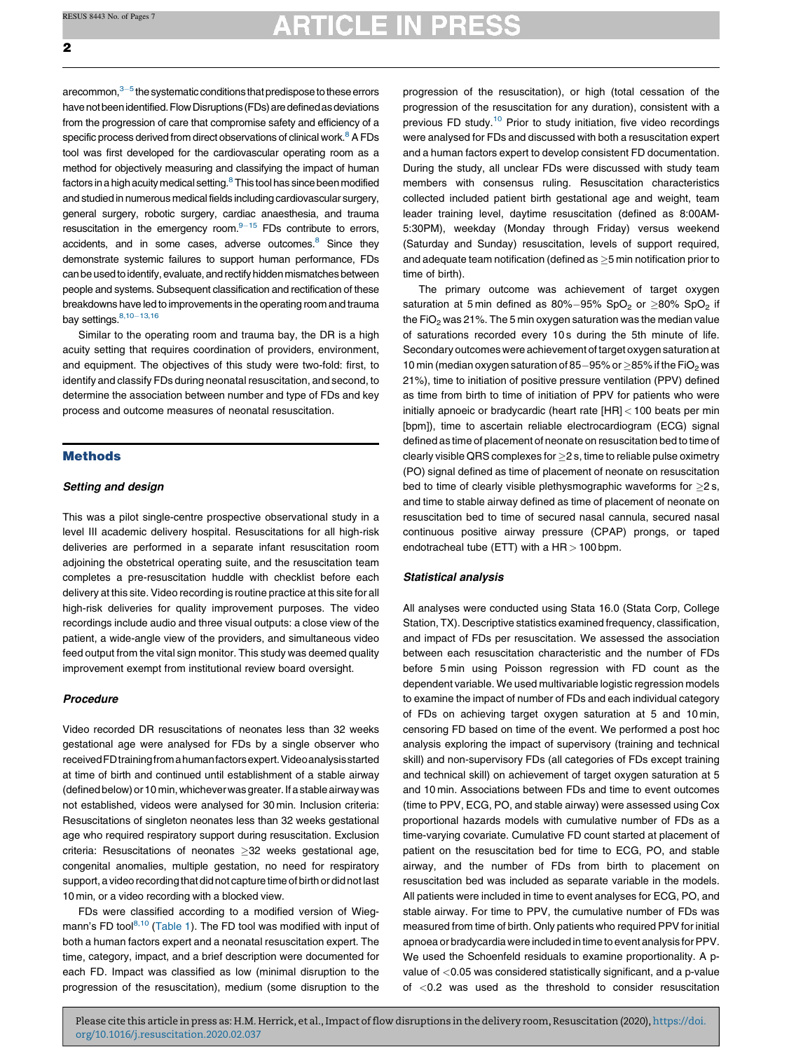# **ARTICLE IN PRESS**

arecommon, $3-5$  the systematic conditions that predispose to these errors have not been identified. Flow Disruptions (FDs) are defined as deviations from the progression of care that compromise safety and efficiency of a specific process derived from direct observations of clinical work.<sup>[8](#page-5-0)</sup> A FDs tool was first developed for the cardiovascular operating room as a method for objectively measuring and classifying the impact of human factors in a high acuity medical setting.<sup>[8](#page-5-0)</sup> This tool has since been modified and studied in numerous medical fields including cardiovascular surgery, general surgery, robotic surgery, cardiac anaesthesia, and trauma resuscitation in the emergency room. $9-15$  FDs [contribute](#page-5-0) to errors, accidents, and in some cases, adverse outcomes.<sup>8</sup> Since they demonstrate systemic failures to support human performance, FDs can be used to identify, evaluate, and rectify hidden mismatches between people and systems. Subsequent classification and rectification of these breakdowns have led to improvements in the operating room and trauma bay settings. $8,10-13,16$ 

Similar to the operating room and trauma bay, the DR is a high acuity setting that requires coordination of providers, environment, and equipment. The objectives of this study were two-fold: first, to identify and classify FDs during neonatal resuscitation, and second, to determine the association between number and type of FDs and key process and outcome measures of neonatal resuscitation.

#### Methods

#### Setting and design

This was a pilot single-centre prospective observational study in a level III academic delivery hospital. Resuscitations for all high-risk deliveries are performed in a separate infant resuscitation room adjoining the obstetrical operating suite, and the resuscitation team completes a pre-resuscitation huddle with checklist before each delivery at this site. Video recording is routine practice at this site for all high-risk deliveries for quality improvement purposes. The video recordings include audio and three visual outputs: a close view of the patient, a wide-angle view of the providers, and simultaneous video feed output from the vital sign monitor. This study was deemed quality improvement exempt from institutional review board oversight.

#### Procedure

Video recorded DR resuscitations of neonates less than 32 weeks gestational age were analysed for FDs by a single observer who receivedFDtrainingfromahumanfactorsexpert.Videoanalysisstarted at time of birth and continued until establishment of a stable airway (defined below) or 10 min, whichever was greater. If a stable airway was not established, videos were analysed for 30 min. Inclusion criteria: Resuscitations of singleton neonates less than 32 weeks gestational age who required respiratory support during resuscitation. Exclusion criteria: Resuscitations of neonates  $\geq$ 32 weeks gestational age, congenital anomalies, multiple gestation, no need for respiratory support, a video recording that did not capture time of birth or did not last 10 min, or a video recording with a blocked view.

FDs were classified according to a modified version of Wieg-mann's FD tool<sup>[8,10](#page-5-0)</sup> [\(Table](#page-2-0) 1). The FD tool was modified with input of both a human factors expert and a neonatal resuscitation expert. The time, category, impact, and a brief description were documented for each FD. Impact was classified as low (minimal disruption to the progression of the resuscitation), medium (some disruption to the

progression of the resuscitation), or high (total cessation of the progression of the resuscitation for any duration), consistent with a previous FD study[.10](#page-5-0) Prior to study initiation, five video recordings were analysed for FDs and discussed with both a resuscitation expert and a human factors expert to develop consistent FD documentation. During the study, all unclear FDs were discussed with study team members with consensus ruling. Resuscitation characteristics collected included patient birth gestational age and weight, team leader training level, daytime resuscitation (defined as 8:00AM-5:30PM), weekday (Monday through Friday) versus weekend (Saturday and Sunday) resuscitation, levels of support required, and adequate team notification (defined as  $>$  5 min notification prior to time of birth).

The primary outcome was achievement of target oxygen saturation at 5 min defined as  $80\% - 95\%$  SpO<sub>2</sub> or  $>80\%$  SpO<sub>2</sub> if the FiO<sub>2</sub> was 21%. The 5 min oxygen saturation was the median value of saturations recorded every 10 s during the 5th minute of life. Secondary outcomes were achievement of target oxygen saturation at 10 min (median oxygen saturation of 85-95% or  $\geq$ 85% if the FiO<sub>2</sub> was 21%), time to initiation of positive pressure ventilation (PPV) defined as time from birth to time of initiation of PPV for patients who were initially apnoeic or bradycardic (heart rate [HR] < 100 beats per min [bpm]), time to ascertain reliable electrocardiogram (ECG) signal defined as time of placement of neonate on resuscitation bed to time of clearly visible QRS complexes for  $\geq$  2 s, time to reliable pulse oximetry (PO) signal defined as time of placement of neonate on resuscitation bed to time of clearly visible plethysmographic waveforms for  $>2$  s, and time to stable airway defined as time of placement of neonate on resuscitation bed to time of secured nasal cannula, secured nasal continuous positive airway pressure (CPAP) prongs, or taped endotracheal tube (ETT) with a  $HR > 100$  bpm.

#### Statistical analysis

All analyses were conducted using Stata 16.0 (Stata Corp, College Station, TX). Descriptive statistics examined frequency, classification, and impact of FDs per resuscitation. We assessed the association between each resuscitation characteristic and the number of FDs before 5 min using Poisson regression with FD count as the dependent variable. We used multivariable logistic regression models to examine the impact of number of FDs and each individual category of FDs on achieving target oxygen saturation at 5 and 10 min, censoring FD based on time of the event. We performed a post hoc analysis exploring the impact of supervisory (training and technical skill) and non-supervisory FDs (all categories of FDs except training and technical skill) on achievement of target oxygen saturation at 5 and 10 min. Associations between FDs and time to event outcomes (time to PPV, ECG, PO, and stable airway) were assessed using Cox proportional hazards models with cumulative number of FDs as a time-varying covariate. Cumulative FD count started at placement of patient on the resuscitation bed for time to ECG, PO, and stable airway, and the number of FDs from birth to placement on resuscitation bed was included as separate variable in the models. All patients were included in time to event analyses for ECG, PO, and stable airway. For time to PPV, the cumulative number of FDs was measured from time of birth. Only patients who required PPV for initial apnoea or bradycardia were included in time to event analysis forPPV. We used the Schoenfeld residuals to examine proportionality. A pvalue of <0.05 was considered statistically significant, and a p-value of <0.2 was used as the threshold to consider resuscitation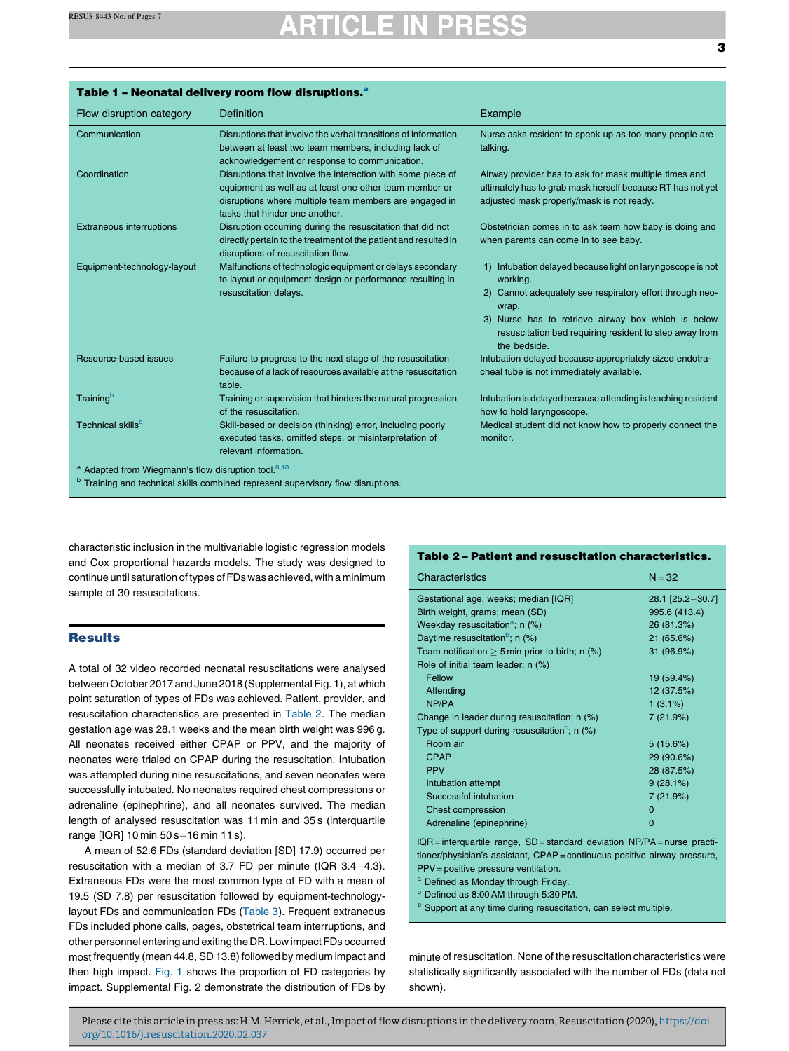<span id="page-2-0"></span>

| Table 1 - Neonatal delivery room flow disruptions. <sup>a</sup>            |                                                                                                                                                                                                                   |                                                                                                                                                                                                                                                                             |  |  |
|----------------------------------------------------------------------------|-------------------------------------------------------------------------------------------------------------------------------------------------------------------------------------------------------------------|-----------------------------------------------------------------------------------------------------------------------------------------------------------------------------------------------------------------------------------------------------------------------------|--|--|
| Flow disruption category                                                   | <b>Definition</b>                                                                                                                                                                                                 | Example                                                                                                                                                                                                                                                                     |  |  |
| Communication                                                              | Disruptions that involve the verbal transitions of information<br>between at least two team members, including lack of<br>acknowledgement or response to communication.                                           | Nurse asks resident to speak up as too many people are<br>talking.                                                                                                                                                                                                          |  |  |
| Coordination                                                               | Disruptions that involve the interaction with some piece of<br>equipment as well as at least one other team member or<br>disruptions where multiple team members are engaged in<br>tasks that hinder one another. | Airway provider has to ask for mask multiple times and<br>ultimately has to grab mask herself because RT has not yet<br>adjusted mask properly/mask is not ready.                                                                                                           |  |  |
| <b>Extraneous interruptions</b>                                            | Disruption occurring during the resuscitation that did not<br>directly pertain to the treatment of the patient and resulted in<br>disruptions of resuscitation flow.                                              | Obstetrician comes in to ask team how baby is doing and<br>when parents can come in to see baby.                                                                                                                                                                            |  |  |
| Equipment-technology-layout                                                | Malfunctions of technologic equipment or delays secondary<br>to layout or equipment design or performance resulting in<br>resuscitation delays.                                                                   | 1) Intubation delayed because light on laryngoscope is not<br>working.<br>2) Cannot adequately see respiratory effort through neo-<br>wrap.<br>3) Nurse has to retrieve airway box which is below<br>resuscitation bed requiring resident to step away from<br>the bedside. |  |  |
| Resource-based issues                                                      | Failure to progress to the next stage of the resuscitation<br>because of a lack of resources available at the resuscitation<br>table.                                                                             | Intubation delayed because appropriately sized endotra-<br>cheal tube is not immediately available.                                                                                                                                                                         |  |  |
| Training <sup>b</sup>                                                      | Training or supervision that hinders the natural progression<br>of the resuscitation.                                                                                                                             | Intubation is delayed because attending is teaching resident<br>how to hold laryngoscope.                                                                                                                                                                                   |  |  |
| Technical skills <sup>b</sup>                                              | Skill-based or decision (thinking) error, including poorly<br>executed tasks, omitted steps, or misinterpretation of<br>relevant information.                                                                     | Medical student did not know how to properly connect the<br>monitor.                                                                                                                                                                                                        |  |  |
| <sup>a</sup> Adapted from Wiegmann's flow disruption tool. <sup>8,10</sup> |                                                                                                                                                                                                                   |                                                                                                                                                                                                                                                                             |  |  |
|                                                                            | <sup>b</sup> Training and technical skills combined represent supervisory flow disruptions.                                                                                                                       |                                                                                                                                                                                                                                                                             |  |  |

characteristic inclusion in the multivariable logistic regression models and Cox proportional hazards models. The study was designed to continue until saturation of types of FDs was achieved, with a minimum sample of 30 resuscitations.

#### **Results**

A total of 32 video recorded neonatal resuscitations were analysed between October 2017 and June 2018 (Supplemental Fig. 1), at which point saturation of types of FDs was achieved. Patient, provider, and resuscitation characteristics are presented in Table 2. The median gestation age was 28.1 weeks and the mean birth weight was 996 g. All neonates received either CPAP or PPV, and the majority of neonates were trialed on CPAP during the resuscitation. Intubation was attempted during nine resuscitations, and seven neonates were successfully intubated. No neonates required chest compressions or adrenaline (epinephrine), and all neonates survived. The median length of analysed resuscitation was 11 min and 35 s (interquartile range [IQR] 10 min 50 s-16 min 11 s).

A mean of 52.6 FDs (standard deviation [SD] 17.9) occurred per resuscitation with a median of 3.7 FD per minute (IQR  $3.4-4.3$ ). Extraneous FDs were the most common type of FD with a mean of 19.5 (SD 7.8) per resuscitation followed by equipment-technologylayout FDs and communication FDs [\(Table](#page-3-0) 3). Frequent extraneous FDs included phone calls, pages, obstetrical team interruptions, and other personnel entering and exiting the DR. Low impact FDs occurred most frequently (mean 44.8, SD 13.8) followed by medium impact and then high impact. [Fig.](#page-3-0) 1 shows the proportion of FD categories by impact. Supplemental Fig. 2 demonstrate the distribution of FDs by

#### Table 2 – Patient and resuscitation characteristics.

| Characteristics                                              | $N = 32$         |
|--------------------------------------------------------------|------------------|
| Gestational age, weeks; median [IQR]                         | 28.1 [25.2-30.7] |
| Birth weight, grams; mean (SD)                               | 995.6 (413.4)    |
| Weekday resuscitation <sup>a</sup> ; n (%)                   | 26 (81.3%)       |
| Daytime resuscitation <sup>b</sup> ; n $(\%)$                | 21 (65.6%)       |
| Team notification $\geq$ 5 min prior to birth; n (%)         | 31 (96.9%)       |
| Role of initial team leader; n (%)                           |                  |
| Fellow                                                       | 19 (59.4%)       |
| Attending                                                    | 12 (37.5%)       |
| NP/PA                                                        | $1(3.1\%)$       |
| Change in leader during resuscitation; n (%)                 | 7(21.9%)         |
| Type of support during resuscitation <sup>c</sup> ; n $(\%)$ |                  |
| Room air                                                     | 5(15.6%)         |
| <b>CPAP</b>                                                  | 29 (90.6%)       |
| <b>PPV</b>                                                   | 28 (87.5%)       |
| Intubation attempt                                           | $9(28.1\%)$      |
| Successful intubation                                        | 7(21.9%)         |
| <b>Chest compression</b>                                     | $\Omega$         |
| Adrenaline (epinephrine)                                     | $\Omega$         |

IQR = interquartile range, SD = standard deviation NP/PA = nurse practitioner/physician's assistant, CPAP= continuous positive airway pressure, PPV = positive pressure ventilation.

a Defined as Monday through Friday.

b Defined as 8:00 AM through 5:30 PM.

<sup>c</sup> Support at any time during resuscitation, can select multiple.

minute of resuscitation. None of the resuscitation characteristics were statistically significantly associated with the number of FDs (data not shown).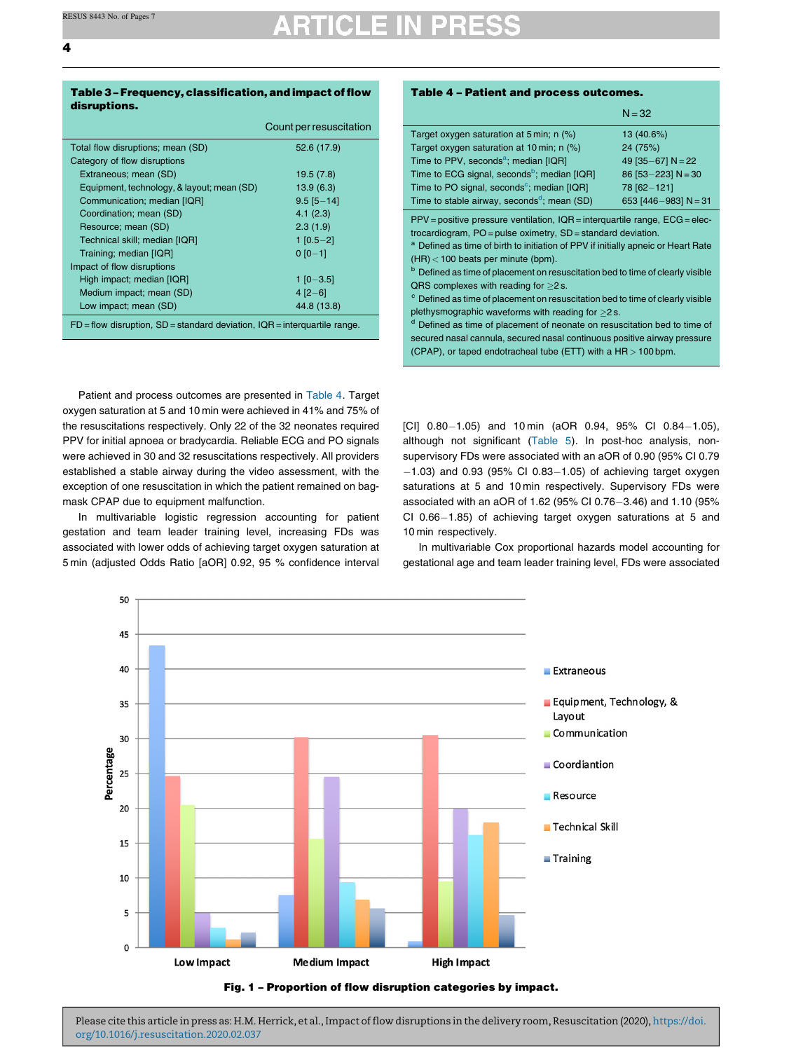<span id="page-3-0"></span>4

#### Table 3 - Frequency, classification, and impact of flow disruptions.

|                                                                                 | Count per resuscitation |  |  |
|---------------------------------------------------------------------------------|-------------------------|--|--|
| Total flow disruptions; mean (SD)                                               | 52.6 (17.9)             |  |  |
| Category of flow disruptions                                                    |                         |  |  |
| Extraneous; mean (SD)                                                           | 19.5(7.8)               |  |  |
| Equipment, technology, & layout; mean (SD)                                      | 13.9(6.3)               |  |  |
| Communication; median [IQR]                                                     | $9.5$ [5 $-14$ ]        |  |  |
| Coordination; mean (SD)                                                         | 4.1(2.3)                |  |  |
| Resource; mean (SD)                                                             | 2.3(1.9)                |  |  |
| Technical skill; median [IQR]                                                   | $1 [0.5 - 2]$           |  |  |
| Training; median [IQR]                                                          | $0 [0 - 1]$             |  |  |
| Impact of flow disruptions                                                      |                         |  |  |
| High impact; median [IQR]                                                       | $1$ [0-3.5]             |  |  |
| Medium impact; mean (SD)                                                        | $4 [2 - 6]$             |  |  |
| Low impact; mean (SD)                                                           | 44.8 (13.8)             |  |  |
| $FD =$ flow disruption, $SD =$ standard deviation, $IQR =$ interquartile range. |                         |  |  |

Patient and process outcomes are presented in Table 4. Target oxygen saturation at 5 and 10 min were achieved in 41% and 75% of the resuscitations respectively. Only 22 of the 32 neonates required PPV for initial apnoea or bradycardia. Reliable ECG and PO signals were achieved in 30 and 32 resuscitations respectively. All providers established a stable airway during the video assessment, with the exception of one resuscitation in which the patient remained on bagmask CPAP due to equipment malfunction.

In multivariable logistic regression accounting for patient gestation and team leader training level, increasing FDs was associated with lower odds of achieving target oxygen saturation at 5 min (adjusted Odds Ratio [aOR] 0.92, 95 % confidence interval

### Table 4 – Patient and process outcomes.

|                                                                                              | $N = 32$               |
|----------------------------------------------------------------------------------------------|------------------------|
| Target oxygen saturation at 5 min; n (%)                                                     | 13 (40.6%)             |
| Target oxygen saturation at 10 min; n (%)                                                    | 24 (75%)               |
| Time to PPV, seconds <sup>a</sup> ; median [IQR]                                             | 49 $[35-67]$ N = 22    |
| Time to ECG signal, seconds <sup>b</sup> ; median [IQR]                                      | 86 $[53 - 223]$ N = 30 |
| Time to PO signal, seconds <sup>c</sup> ; median [IQR]                                       | 78 [62-121]            |
| Time to stable airway, seconds <sup>d</sup> ; mean (SD)                                      | 653 [446-983] $N = 31$ |
| $PPV =$ positive pressure ventilation, $IQR =$ interquartile range, $ECG =$ elec-            |                        |
| trocardiogram, PO = pulse oximetry, SD = standard deviation.                                 |                        |
| <sup>a</sup> Defined as time of birth to initiation of PPV if initially apneic or Heart Rate |                        |
| $(HR)$ < 100 beats per minute (bpm).                                                         |                        |
| <sup>b</sup> Defined as time of placement on resuscitation bed to time of clearly visible    |                        |
| QRS complexes with reading for $\geq$ 2 s.                                                   |                        |
| <sup>c</sup> Defined as time of placement on resuscitation bed to time of clearly visible    |                        |
| plethysmographic waveforms with reading for $\geq$ 2 s.                                      |                        |
| <sup>d</sup> Defined as time of placement of neonate on resuscitation bed to time of         |                        |
| secured nasal cannula, secured nasal continuous positive airway pressure                     |                        |
| (CPAP), or taped endotracheal tube (ETT) with a $HR > 100$ bpm.                              |                        |

[CI]  $0.80-1.05$ ) and 10 min (aOR 0.94, 95% CI 0.84-1.05), although not significant [\(Table](#page-4-0) 5). In post-hoc analysis, nonsupervisory FDs were associated with an aOR of 0.90 (95% CI 0.79  $-1.03$ ) and 0.93 (95% CI 0.83 $-1.05$ ) of achieving target oxygen saturations at 5 and 10 min respectively. Supervisory FDs were associated with an aOR of 1.62 (95% CI 0.76-3.46) and 1.10 (95% CI  $0.66-1.85$ ) of achieving target oxygen saturations at 5 and 10 min respectively.

In multivariable Cox proportional hazards model accounting for gestational age and team leader training level, FDs were associated

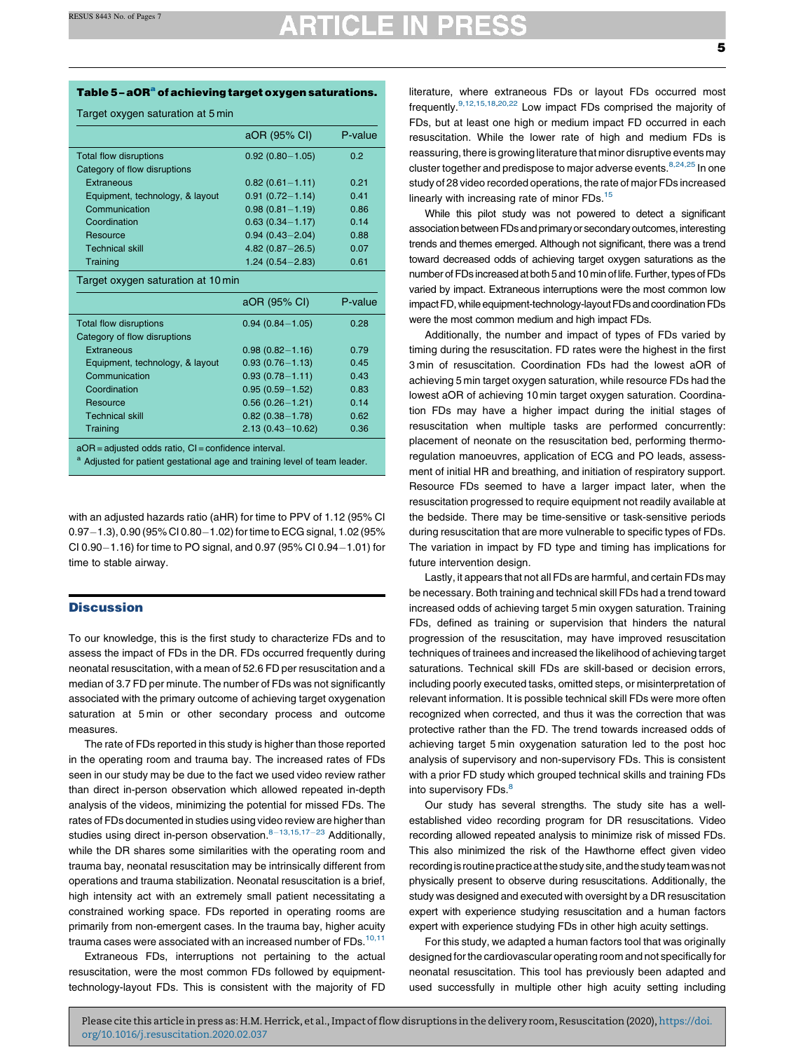## **ARTICLE IN PRESS**

<span id="page-4-0"></span>Target oxygen saturation at 5 min

|                                    | aOR (95% CI)         | P-value |  |
|------------------------------------|----------------------|---------|--|
| <b>Total flow disruptions</b>      | $0.92(0.80 - 1.05)$  | 0.2     |  |
| Category of flow disruptions       |                      |         |  |
| Extraneous                         | $0.82(0.61 - 1.11)$  | 0.21    |  |
| Equipment, technology, & layout    | $0.91(0.72 - 1.14)$  | 0.41    |  |
| Communication                      | $0.98(0.81 - 1.19)$  | 0.86    |  |
| Coordination                       | $0.63(0.34 - 1.17)$  | 0.14    |  |
| Resource                           | $0.94(0.43 - 2.04)$  | 0.88    |  |
| <b>Technical skill</b>             | $4.82(0.87 - 26.5)$  | 0.07    |  |
| Training                           | $1.24(0.54 - 2.83)$  | 0.61    |  |
| Target oxygen saturation at 10 min |                      |         |  |
|                                    |                      |         |  |
|                                    | aOR (95% CI)         | P-value |  |
| <b>Total flow disruptions</b>      | $0.94(0.84 - 1.05)$  | 0.28    |  |
| Category of flow disruptions       |                      |         |  |
| Extraneous                         | $0.98(0.82 - 1.16)$  | 0.79    |  |
| Equipment, technology, & layout    | $0.93(0.76 - 1.13)$  | 0.45    |  |
| Communication                      | $0.93(0.78 - 1.11)$  | 0.43    |  |
| Coordination                       | $0.95(0.59 - 1.52)$  | 0.83    |  |
| Resource                           | $0.56(0.26 - 1.21)$  | 0.14    |  |
| <b>Technical skill</b>             | $0.82(0.38 - 1.78)$  | 0.62    |  |
| Training                           | $2.13(0.43 - 10.62)$ | 0.36    |  |

with an adjusted hazards ratio (aHR) for time to PPV of 1.12 (95% CI  $0.97-1.3$ ),  $0.90$  ( $95\%$  CI 0.80 $-1.02$ ) for time to ECG signal, 1.02 ( $95\%$ CI 0.90 $-1.16$ ) for time to PO signal, and 0.97 (95% CI 0.94 $-1.01$ ) for time to stable airway.

#### **Discussion**

To our knowledge, this is the first study to characterize FDs and to assess the impact of FDs in the DR. FDs occurred frequently during neonatal resuscitation, with a mean of 52.6 FD per resuscitation and a median of 3.7 FD per minute. The number of FDs was not significantly associated with the primary outcome of achieving target oxygenation saturation at 5 min or other secondary process and outcome measures.

The rate of FDs reported in this study is higher than those reported in the operating room and trauma bay. The increased rates of FDs seen in our study may be due to the fact we used video review rather than direct in-person observation which allowed repeated in-depth analysis of the videos, minimizing the potential for missed FDs. The rates of FDs documented in studies using video review are higher than studies using direct in-person observation.  $8-13,15,17-23$  [Additionally,](#page-5-0) while the DR shares some similarities with the operating room and trauma bay, neonatal resuscitation may be intrinsically different from operations and trauma stabilization. Neonatal resuscitation is a brief, high intensity act with an extremely small patient necessitating a constrained working space. FDs reported in operating rooms are primarily from non-emergent cases. In the trauma bay, higher acuity trauma cases were associated with an increased number of FDs.<sup>[10,11](#page-5-0)</sup>

Extraneous FDs, interruptions not pertaining to the actual resuscitation, were the most common FDs followed by equipmenttechnology-layout FDs. This is consistent with the majority of FD literature, where extraneous FDs or layout FDs occurred most frequently[.9,12,15,18,](#page-5-0)20,22 Low impact FDs [comprised](#page-6-0) the majority of FDs, but at least one high or medium impact FD occurred in each resuscitation. While the lower rate of high and medium FDs is reassuring, there is growing literature that minor disruptive events may cluster together and predispose to major adverse events.<sup>8,24,25</sup> In [one](#page-5-0) study of 28 video recorded operations, the rate of major FDs increased linearly with increasing rate of minor FDs[.15](#page-6-0)

While this pilot study was not powered to detect a significant association between FDs and primary or secondary outcomes, interesting trends and themes emerged. Although not significant, there was a trend toward decreased odds of achieving target oxygen saturations as the number of FDs increased at both 5 and 10 min of life. Further, types of FDs varied by impact. Extraneous interruptions were the most common low impact FD, while equipment-technology-layout FDs and coordination FDs were the most common medium and high impact FDs.

Additionally, the number and impact of types of FDs varied by timing during the resuscitation. FD rates were the highest in the first 3 min of resuscitation. Coordination FDs had the lowest aOR of achieving 5 min target oxygen saturation, while resource FDs had the lowest aOR of achieving 10 min target oxygen saturation. Coordination FDs may have a higher impact during the initial stages of resuscitation when multiple tasks are performed concurrently: placement of neonate on the resuscitation bed, performing thermoregulation manoeuvres, application of ECG and PO leads, assessment of initial HR and breathing, and initiation of respiratory support. Resource FDs seemed to have a larger impact later, when the resuscitation progressed to require equipment not readily available at the bedside. There may be time-sensitive or task-sensitive periods during resuscitation that are more vulnerable to specific types of FDs. The variation in impact by FD type and timing has implications for future intervention design.

Lastly, it appears that not all FDs are harmful, and certain FDs may be necessary. Both training and technical skill FDs had a trend toward increased odds of achieving target 5 min oxygen saturation. Training FDs, defined as training or supervision that hinders the natural progression of the resuscitation, may have improved resuscitation techniques of trainees and increased the likelihood of achieving target saturations. Technical skill FDs are skill-based or decision errors, including poorly executed tasks, omitted steps, or misinterpretation of relevant information. It is possible technical skill FDs were more often recognized when corrected, and thus it was the correction that was protective rather than the FD. The trend towards increased odds of achieving target 5 min oxygenation saturation led to the post hoc analysis of supervisory and non-supervisory FDs. This is consistent with a prior FD study which grouped technical skills and training FDs into supervisory FDs.<sup>[8](#page-5-0)</sup>

Our study has several strengths. The study site has a wellestablished video recording program for DR resuscitations. Video recording allowed repeated analysis to minimize risk of missed FDs. This also minimized the risk of the Hawthorne effect given video recording is routine practice at the study site, and the study team was not physically present to observe during resuscitations. Additionally, the study was designed and executed with oversight by a DR resuscitation expert with experience studying resuscitation and a human factors expert with experience studying FDs in other high acuity settings.

For this study, we adapted a human factors tool that was originally designed forthe cardiovascular operating room and not specifically for neonatal resuscitation. This tool has previously been adapted and used successfully in multiple other high acuity setting including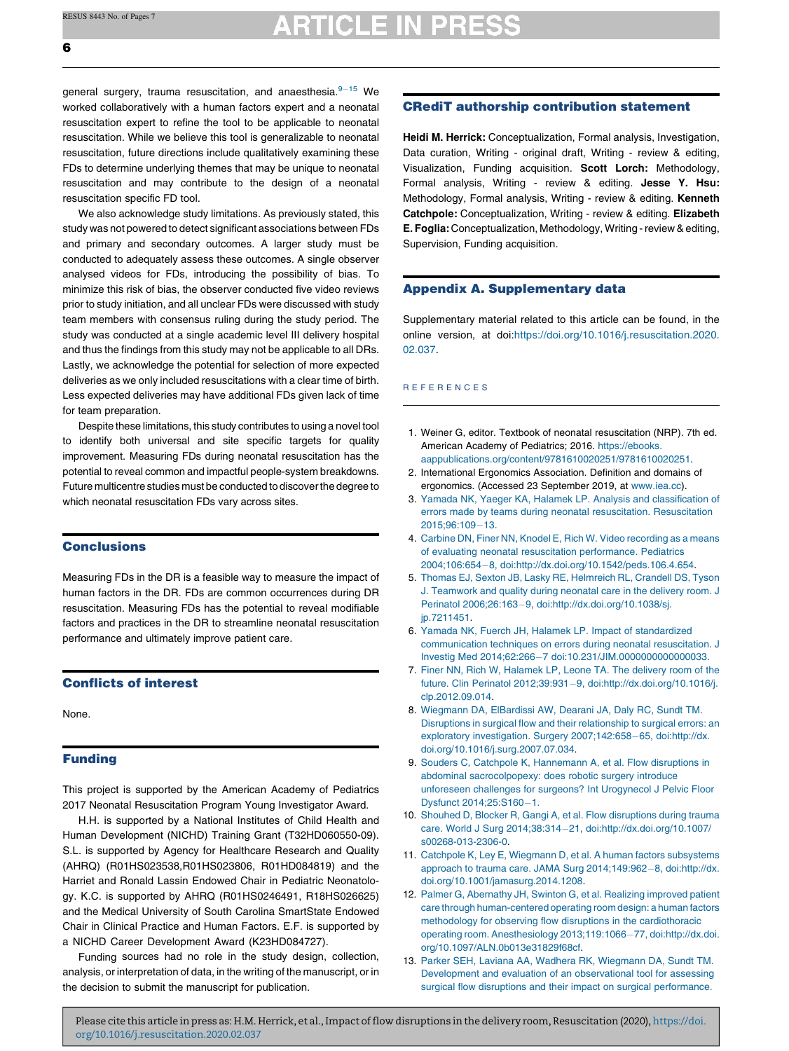## **ARTICLE IN PRESS**

<span id="page-5-0"></span>general surgery, trauma resuscitation, and anaesthesia.<sup>9-15</sup> We worked collaboratively with a human factors expert and a neonatal resuscitation expert to refine the tool to be applicable to neonatal resuscitation. While we believe this tool is generalizable to neonatal resuscitation, future directions include qualitatively examining these FDs to determine underlying themes that may be unique to neonatal resuscitation and may contribute to the design of a neonatal resuscitation specific FD tool.

We also acknowledge study limitations. As previously stated, this study was not powered to detect significant associations between FDs and primary and secondary outcomes. A larger study must be conducted to adequately assess these outcomes. A single observer analysed videos for FDs, introducing the possibility of bias. To minimize this risk of bias, the observer conducted five video reviews prior to study initiation, and all unclear FDs were discussed with study team members with consensus ruling during the study period. The study was conducted at a single academic level III delivery hospital and thus the findings from this study may not be applicable to all DRs. Lastly, we acknowledge the potential for selection of more expected deliveries as we only included resuscitations with a clear time of birth. Less expected deliveries may have additional FDs given lack of time for team preparation.

Despite these limitations, this study contributes to using a novel tool to identify both universal and site specific targets for quality improvement. Measuring FDs during neonatal resuscitation has the potential to reveal common and impactful people-system breakdowns. Future multicentre studies must be conducted to discover the degree to which neonatal resuscitation FDs vary across sites.

#### **Conclusions**

Measuring FDs in the DR is a feasible way to measure the impact of human factors in the DR. FDs are common occurrences during DR resuscitation. Measuring FDs has the potential to reveal modifiable factors and practices in the DR to streamline neonatal resuscitation performance and ultimately improve patient care.

#### Conflicts of interest

None.

### Funding

This project is supported by the American Academy of Pediatrics 2017 Neonatal Resuscitation Program Young Investigator Award.

H.H. is supported by a National Institutes of Child Health and Human Development (NICHD) Training Grant (T32HD060550-09). S.L. is supported by Agency for Healthcare Research and Quality (AHRQ) (R01HS023538,R01HS023806, R01HD084819) and the Harriet and Ronald Lassin Endowed Chair in Pediatric Neonatology. K.C. is supported by AHRQ (R01HS0246491, R18HS026625) and the Medical University of South Carolina SmartState Endowed Chair in Clinical Practice and Human Factors. E.F. is supported by a NICHD Career Development Award (K23HD084727).

Funding sources had no role in the study design, collection, analysis, or interpretation of data, in the writing of the manuscript, or in the decision to submit the manuscript for publication.

#### CRediT authorship contribution statement

Heidi M. Herrick: Conceptualization, Formal analysis, Investigation, Data curation, Writing - original draft, Writing - review & editing, Visualization, Funding acquisition. Scott Lorch: Methodology, Formal analysis, Writing - review & editing. Jesse Y. Hsu: Methodology, Formal analysis, Writing - review & editing. Kenneth Catchpole: Conceptualization, Writing - review & editing. Elizabeth E. Foglia: Conceptualization, Methodology, Writing - review & editing, Supervision, Funding acquisition.

#### Appendix A. Supplementary data

Supplementary material related to this article can be found, in the online version, at doi[:https://doi.org/10.1016/j.resuscitation.2020.](https://doi.org/10.1016/j.resuscitation.2020.02.037) [02.037](https://doi.org/10.1016/j.resuscitation.2020.02.037).

#### R E F E R E N C E S

- 1. Weiner G, editor. Textbook of neonatal resuscitation (NRP). 7th ed. American Academy of Pediatrics; 2016. [https://ebooks.](https://ebooks.aappublications.org/content/9781610020251/9781610020251) [aappublications.org/content/9781610020251/9781610020251](https://ebooks.aappublications.org/content/9781610020251/9781610020251).
- 2. International Ergonomics Association. Definition and domains of ergonomics. (Accessed 23 September 2019, at [www.iea.cc](http://www.iea.cc)).
- 3. Yamada NK, Yaeger KA, Halamek LP. Analysis and [classification](http://refhub.elsevier.com/S0300-9572(20)30103-9/sbref0015) of errors made by teams during neonatal resuscitation. [Resuscitation](http://refhub.elsevier.com/S0300-9572(20)30103-9/sbref0015) 2015:96:109-13.
- 4. Carbine DN, Finer NN, Knodel E, Rich W. Video [recording](http://refhub.elsevier.com/S0300-9572(20)30103-9/sbref0020) as a means of evaluating neonatal resuscitation [performance.](http://refhub.elsevier.com/S0300-9572(20)30103-9/sbref0020) Pediatrics 2004;106:654-8, [doi:http://dx.doi.org/10.1542/peds.106.4.654](http://refhub.elsevier.com/S0300-9572(20)30103-9/sbref0020).
- 5. Thomas EJ, Sexton JB, Lasky RE, [Helmreich](http://refhub.elsevier.com/S0300-9572(20)30103-9/sbref0025) RL, Crandell DS, Tyson J. [Teamwork](http://refhub.elsevier.com/S0300-9572(20)30103-9/sbref0025) and quality during neonatal care in the delivery room. J Perinatol 2006;26:163-9, [doi:http://dx.doi.org/10.1038/sj.](http://refhub.elsevier.com/S0300-9572(20)30103-9/sbref0025) [jp.7211451.](http://dx.doi.org/10.1038/sj.jp.7211451)
- 6. Yamada NK, Fuerch JH, Halamek LP. Impact of [standardized](http://refhub.elsevier.com/S0300-9572(20)30103-9/sbref0030) [communication](http://refhub.elsevier.com/S0300-9572(20)30103-9/sbref0030) techniques on errors during neonatal resuscitation. J Investig Med 2014;62:266-7 [doi:10.231/JIM.0000000000000033.](http://refhub.elsevier.com/S0300-9572(20)30103-9/sbref0030)
- 7. Finer NN, Rich W, [Halamek](http://refhub.elsevier.com/S0300-9572(20)30103-9/sbref0035) LP, Leone TA. The delivery room of the future. Clin Perinatol 2012;39:931-9, [doi:http://dx.doi.org/10.1016/j.](http://refhub.elsevier.com/S0300-9572(20)30103-9/sbref0035) [clp.2012.09.014](http://dx.doi.org/10.1016/j.clp.2012.09.014).
- 8. [Wiegmann](http://refhub.elsevier.com/S0300-9572(20)30103-9/sbref0040) DA, ElBardissi AW, Dearani JA, Daly RC, Sundt TM. Disruptions in surgical flow and their [relationship](http://refhub.elsevier.com/S0300-9572(20)30103-9/sbref0040) to surgical errors: an exploratory investigation. Surgery [2007;142:658](http://refhub.elsevier.com/S0300-9572(20)30103-9/sbref0040)-65, doi:http://dx. [doi.org/10.1016/j.surg.2007.07.034.](http://dx.doi.org/10.1016/j.surg.2007.07.034)
- 9. Souders C, Catchpole K, [Hannemann](http://refhub.elsevier.com/S0300-9572(20)30103-9/sbref0045) A, et al. Flow disruptions in abdominal [sacrocolpopexy:](http://refhub.elsevier.com/S0300-9572(20)30103-9/sbref0045) does robotic surgery introduce unforeseen challenges for surgeons? Int [Urogynecol](http://refhub.elsevier.com/S0300-9572(20)30103-9/sbref0045) J Pelvic Floor Dysfunct [2014;25:S160](http://refhub.elsevier.com/S0300-9572(20)30103-9/sbref0045)-1.
- 10. Shouhed D, Blocker R, Gangi A, et al. Flow [disruptions](http://refhub.elsevier.com/S0300-9572(20)30103-9/sbref0050) during trauma care. World J Surg 2014;38:31421, [doi:http://dx.doi.org/10.1007/](http://refhub.elsevier.com/S0300-9572(20)30103-9/sbref0050) [s00268-013-2306-0](http://dx.doi.org/10.1007/s00268-013-2306-0).
- 11. Catchpole K, Ley E, Wiegmann D, et al. A human factors [subsystems](http://refhub.elsevier.com/S0300-9572(20)30103-9/sbref0055) approach to trauma care. JAMA Surg [2014;149:962](http://refhub.elsevier.com/S0300-9572(20)30103-9/sbref0055)-8, doi:http://dx. [doi.org/10.1001/jamasurg.2014.1208.](http://dx.doi.org/10.1001/jamasurg.2014.1208)
- 12. Palmer G, [Abernathy](http://refhub.elsevier.com/S0300-9572(20)30103-9/sbref0060) JH, Swinton G, et al. Realizing improved patient care through [human-centered](http://refhub.elsevier.com/S0300-9572(20)30103-9/sbref0060) operating room design: a human factors methodology for observing flow disruptions in the [cardiothoracic](http://refhub.elsevier.com/S0300-9572(20)30103-9/sbref0060) operating room. Anesthesiology 2013;119:1066-77, [doi:http://dx.doi.](http://refhub.elsevier.com/S0300-9572(20)30103-9/sbref0060) [org/10.1097/ALN.0b013e31829f68cf](http://dx.doi.org/10.1097/ALN.0b013e31829f68cf).
- 13. Parker SEH, Laviana AA, Wadhera RK, [Wiegmann](http://refhub.elsevier.com/S0300-9572(20)30103-9/sbref0065) DA, Sundt TM. Development and evaluation of an [observational](http://refhub.elsevier.com/S0300-9572(20)30103-9/sbref0065) tool for assessing surgical flow disruptions and their impact on surgical [performance.](http://refhub.elsevier.com/S0300-9572(20)30103-9/sbref0065)